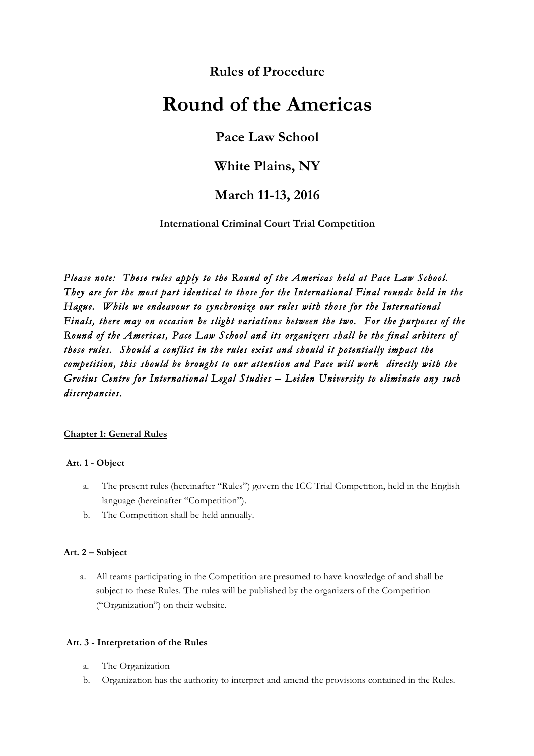# **Rules of Procedure**

# **Round of the Americas**

# **Pace Law School**

# **White Plains, NY**

# **March 11-13, 2016**

**International Criminal Court Trial Competition**

*Please note: These rules apply to the Round of the Americas held at Pace Law School. They are for the most part identical to those for the International Final rounds held in the Hague. While we endeavour to synchronize our rules with those for the International Finals, there may on occasion be slight variations between the two. For the purposes of the Round of the Americas, Pace Law School and its organizers shall be the final arbiters of these rules. Should a conflict in the rules exist and should it potentially impact the competition, this should be brought to our attention and Pace will work directly with the Grotius Centre for International Legal Studies – Leiden University to eliminate any such discrepancies.* 

#### **Chapter 1: General Rules**

#### **Art. 1 - Object**

- a. The present rules (hereinafter "Rules") govern the ICC Trial Competition, held in the English language (hereinafter "Competition").
- b. The Competition shall be held annually.

#### **Art. 2 – Subject**

a. All teams participating in the Competition are presumed to have knowledge of and shall be subject to these Rules. The rules will be published by the organizers of the Competition ("Organization") on their website.

#### **Art. 3 - Interpretation of the Rules**

- a. The Organization
- b. Organization has the authority to interpret and amend the provisions contained in the Rules.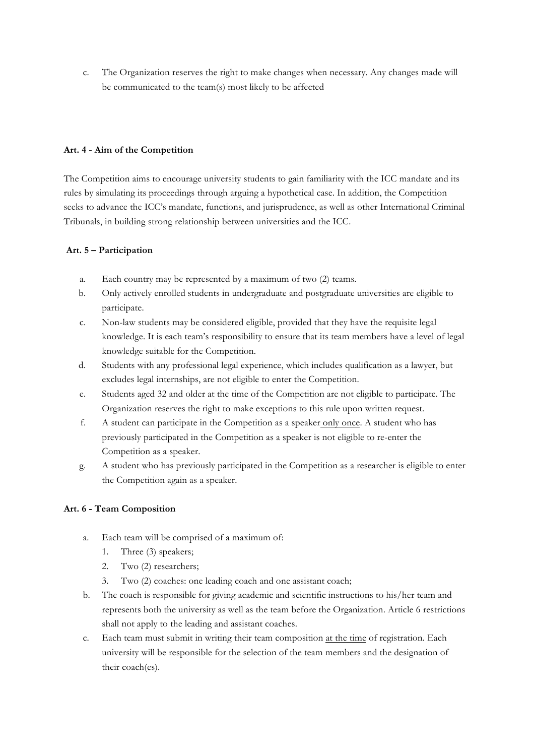c. The Organization reserves the right to make changes when necessary. Any changes made will be communicated to the team(s) most likely to be affected

#### **Art. 4 - Aim of the Competition**

The Competition aims to encourage university students to gain familiarity with the ICC mandate and its rules by simulating its proceedings through arguing a hypothetical case. In addition, the Competition seeks to advance the ICC's mandate, functions, and jurisprudence, as well as other International Criminal Tribunals, in building strong relationship between universities and the ICC.

# **Art. 5 – Participation**

- a. Each country may be represented by a maximum of two (2) teams.
- b. Only actively enrolled students in undergraduate and postgraduate universities are eligible to participate.
- c. Non-law students may be considered eligible, provided that they have the requisite legal knowledge. It is each team's responsibility to ensure that its team members have a level of legal knowledge suitable for the Competition.
- d. Students with any professional legal experience, which includes qualification as a lawyer, but excludes legal internships, are not eligible to enter the Competition.
- e. Students aged 32 and older at the time of the Competition are not eligible to participate. The Organization reserves the right to make exceptions to this rule upon written request.
- f. A student can participate in the Competition as a speaker only once. A student who has previously participated in the Competition as a speaker is not eligible to re-enter the Competition as a speaker.
- g. A student who has previously participated in the Competition as a researcher is eligible to enter the Competition again as a speaker.

# **Art. 6 - Team Composition**

- a. Each team will be comprised of a maximum of:
	- 1. Three (3) speakers;
	- 2. Two (2) researchers;
	- 3. Two (2) coaches: one leading coach and one assistant coach;
- b. The coach is responsible for giving academic and scientific instructions to his/her team and represents both the university as well as the team before the Organization. Article 6 restrictions shall not apply to the leading and assistant coaches.
- c. Each team must submit in writing their team composition at the time of registration. Each university will be responsible for the selection of the team members and the designation of their coach(es).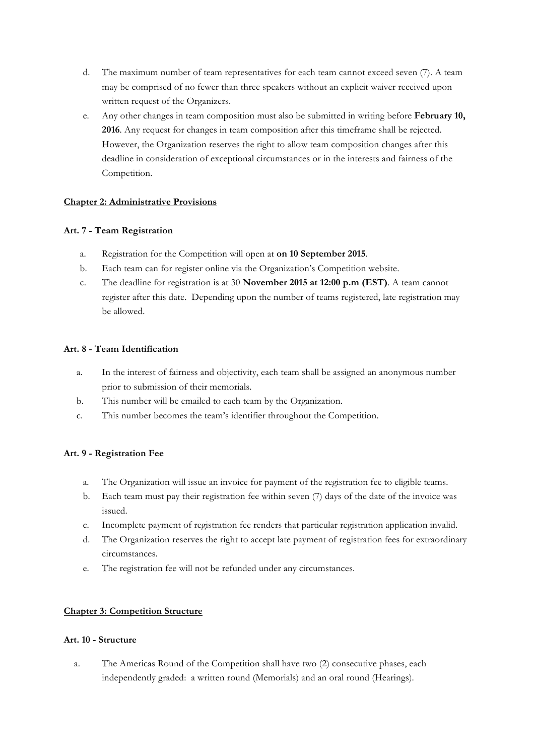- d. The maximum number of team representatives for each team cannot exceed seven (7). A team may be comprised of no fewer than three speakers without an explicit waiver received upon written request of the Organizers.
- e. Any other changes in team composition must also be submitted in writing before **February 10, 2016**. Any request for changes in team composition after this timeframe shall be rejected. However, the Organization reserves the right to allow team composition changes after this deadline in consideration of exceptional circumstances or in the interests and fairness of the Competition.

## **Chapter 2: Administrative Provisions**

## **Art. 7 - Team Registration**

- a. Registration for the Competition will open at **on 10 September 2015**.
- b. Each team can for register online via the Organization's Competition website.
- c. The deadline for registration is at 30 **November 2015 at 12:00 p.m (EST)**. A team cannot register after this date. Depending upon the number of teams registered, late registration may be allowed.

# **Art. 8 - Team Identification**

- a. In the interest of fairness and objectivity, each team shall be assigned an anonymous number prior to submission of their memorials.
- b. This number will be emailed to each team by the Organization.
- c. This number becomes the team's identifier throughout the Competition.

# **Art. 9 - Registration Fee**

- a. The Organization will issue an invoice for payment of the registration fee to eligible teams.
- b. Each team must pay their registration fee within seven (7) days of the date of the invoice was issued.
- c. Incomplete payment of registration fee renders that particular registration application invalid.
- d. The Organization reserves the right to accept late payment of registration fees for extraordinary circumstances.
- e. The registration fee will not be refunded under any circumstances.

# **Chapter 3: Competition Structure**

#### **Art. 10 - Structure**

a. The Americas Round of the Competition shall have two (2) consecutive phases, each independently graded: a written round (Memorials) and an oral round (Hearings).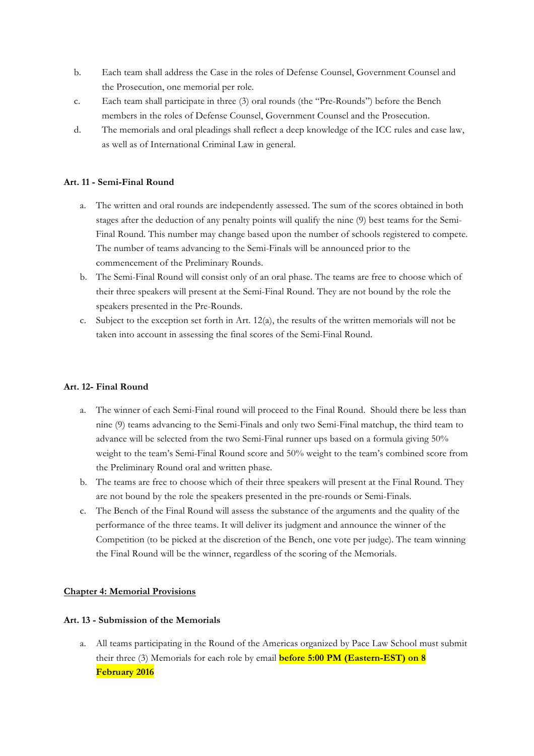- b. Each team shall address the Case in the roles of Defense Counsel, Government Counsel and the Prosecution, one memorial per role.
- c. Each team shall participate in three (3) oral rounds (the "Pre-Rounds") before the Bench members in the roles of Defense Counsel, Government Counsel and the Prosecution.
- d. The memorials and oral pleadings shall reflect a deep knowledge of the ICC rules and case law, as well as of International Criminal Law in general.

#### **Art. 11 - Semi-Final Round**

- a. The written and oral rounds are independently assessed. The sum of the scores obtained in both stages after the deduction of any penalty points will qualify the nine (9) best teams for the Semi-Final Round. This number may change based upon the number of schools registered to compete. The number of teams advancing to the Semi-Finals will be announced prior to the commencement of the Preliminary Rounds.
- b. The Semi-Final Round will consist only of an oral phase. The teams are free to choose which of their three speakers will present at the Semi-Final Round. They are not bound by the role the speakers presented in the Pre-Rounds.
- c. Subject to the exception set forth in Art. 12(a), the results of the written memorials will not be taken into account in assessing the final scores of the Semi-Final Round.

#### **Art. 12- Final Round**

- a. The winner of each Semi-Final round will proceed to the Final Round. Should there be less than nine (9) teams advancing to the Semi-Finals and only two Semi-Final matchup, the third team to advance will be selected from the two Semi-Final runner ups based on a formula giving 50% weight to the team's Semi-Final Round score and 50% weight to the team's combined score from the Preliminary Round oral and written phase.
- b. The teams are free to choose which of their three speakers will present at the Final Round. They are not bound by the role the speakers presented in the pre-rounds or Semi-Finals.
- c. The Bench of the Final Round will assess the substance of the arguments and the quality of the performance of the three teams. It will deliver its judgment and announce the winner of the Competition (to be picked at the discretion of the Bench, one vote per judge). The team winning the Final Round will be the winner, regardless of the scoring of the Memorials.

#### **Chapter 4: Memorial Provisions**

#### **Art. 13 - Submission of the Memorials**

a. All teams participating in the Round of the Americas organized by Pace Law School must submit their three (3) Memorials for each role by email **before 5:00 PM (Eastern-EST) on 8 February 2016**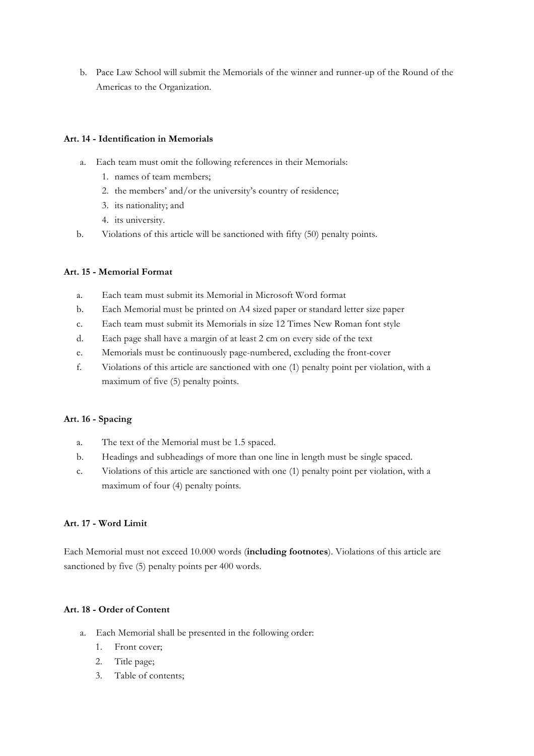b. Pace Law School will submit the Memorials of the winner and runner-up of the Round of the Americas to the Organization.

#### **Art. 14 - Identification in Memorials**

- a. Each team must omit the following references in their Memorials:
	- 1. names of team members;
	- 2. the members' and/or the university's country of residence;
	- 3. its nationality; and
	- 4. its university.
- b. Violations of this article will be sanctioned with fifty (50) penalty points.

# **Art. 15 - Memorial Format**

- a. Each team must submit its Memorial in Microsoft Word format
- b. Each Memorial must be printed on A4 sized paper or standard letter size paper
- c. Each team must submit its Memorials in size 12 Times New Roman font style
- d. Each page shall have a margin of at least 2 cm on every side of the text
- e. Memorials must be continuously page-numbered, excluding the front-cover
- f. Violations of this article are sanctioned with one (1) penalty point per violation, with a maximum of five (5) penalty points.

#### **Art. 16 - Spacing**

- a. The text of the Memorial must be 1.5 spaced.
- b. Headings and subheadings of more than one line in length must be single spaced.
- c. Violations of this article are sanctioned with one (1) penalty point per violation, with a maximum of four (4) penalty points.

#### **Art. 17 - Word Limit**

Each Memorial must not exceed 10.000 words (**including footnotes**). Violations of this article are sanctioned by five (5) penalty points per 400 words.

#### **Art. 18 - Order of Content**

- a. Each Memorial shall be presented in the following order:
	- 1. Front cover;
	- 2. Title page;
	- 3. Table of contents;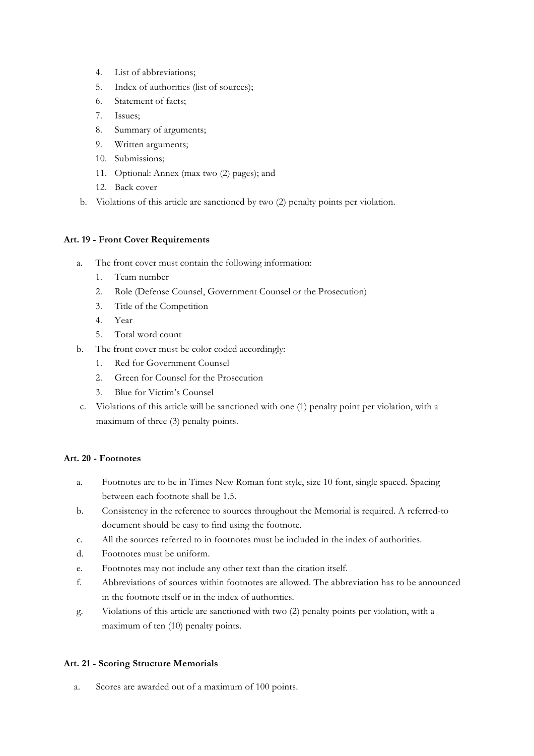- 4. List of abbreviations;
- 5. Index of authorities (list of sources);
- 6. Statement of facts;
- 7. Issues;
- 8. Summary of arguments;
- 9. Written arguments;
- 10. Submissions;
- 11. Optional: Annex (max two (2) pages); and
- 12. Back cover
- b. Violations of this article are sanctioned by two (2) penalty points per violation.

#### **Art. 19 - Front Cover Requirements**

- a. The front cover must contain the following information:
	- 1. Team number
	- 2. Role (Defense Counsel, Government Counsel or the Prosecution)
	- 3. Title of the Competition
	- 4. Year
	- 5. Total word count
- b. The front cover must be color coded accordingly:
	- 1. Red for Government Counsel
	- 2. Green for Counsel for the Prosecution
	- 3. Blue for Victim's Counsel
- c. Violations of this article will be sanctioned with one (1) penalty point per violation, with a maximum of three (3) penalty points.

#### **Art. 20 - Footnotes**

- a. Footnotes are to be in Times New Roman font style, size 10 font, single spaced. Spacing between each footnote shall be 1.5.
- b. Consistency in the reference to sources throughout the Memorial is required. A referred-to document should be easy to find using the footnote.
- c. All the sources referred to in footnotes must be included in the index of authorities.
- d. Footnotes must be uniform.
- e. Footnotes may not include any other text than the citation itself.
- f. Abbreviations of sources within footnotes are allowed. The abbreviation has to be announced in the footnote itself or in the index of authorities.
- g. Violations of this article are sanctioned with two (2) penalty points per violation, with a maximum of ten (10) penalty points.

#### **Art. 21 - Scoring Structure Memorials**

a. Scores are awarded out of a maximum of 100 points.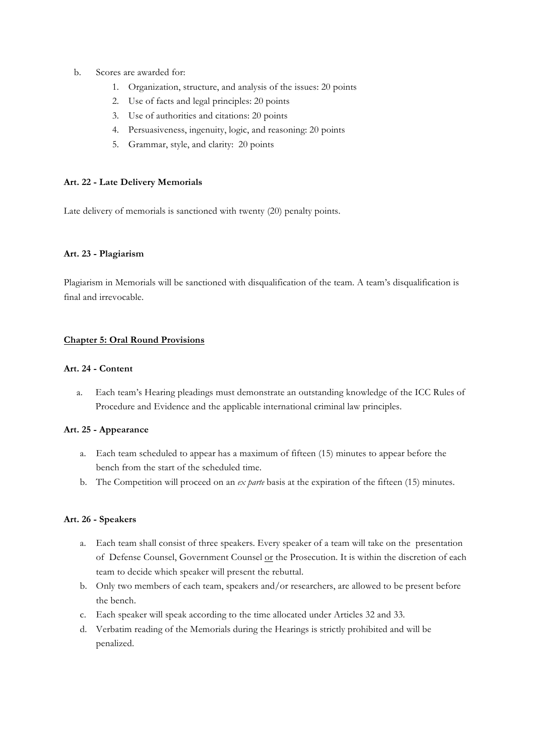- b. Scores are awarded for:
	- 1. Organization, structure, and analysis of the issues: 20 points
	- 2. Use of facts and legal principles: 20 points
	- 3. Use of authorities and citations: 20 points
	- 4. Persuasiveness, ingenuity, logic, and reasoning: 20 points
	- 5. Grammar, style, and clarity: 20 points

#### **Art. 22 - Late Delivery Memorials**

Late delivery of memorials is sanctioned with twenty (20) penalty points.

#### **Art. 23 - Plagiarism**

Plagiarism in Memorials will be sanctioned with disqualification of the team. A team's disqualification is final and irrevocable.

#### **Chapter 5: Oral Round Provisions**

#### **Art. 24 - Content**

a. Each team's Hearing pleadings must demonstrate an outstanding knowledge of the ICC Rules of Procedure and Evidence and the applicable international criminal law principles.

#### **Art. 25 - Appearance**

- a. Each team scheduled to appear has a maximum of fifteen (15) minutes to appear before the bench from the start of the scheduled time.
- b. The Competition will proceed on an *ex parte* basis at the expiration of the fifteen (15) minutes.

#### **Art. 26 - Speakers**

- a. Each team shall consist of three speakers. Every speaker of a team will take on the presentation of Defense Counsel, Government Counsel or the Prosecution. It is within the discretion of each team to decide which speaker will present the rebuttal.
- b. Only two members of each team, speakers and/or researchers, are allowed to be present before the bench.
- c. Each speaker will speak according to the time allocated under Articles 32 and 33.
- d. Verbatim reading of the Memorials during the Hearings is strictly prohibited and will be penalized.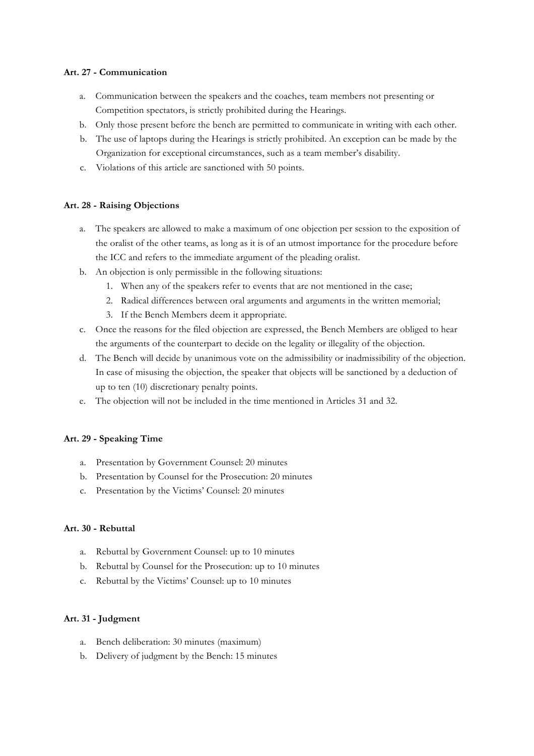## **Art. 27 - Communication**

- a. Communication between the speakers and the coaches, team members not presenting or Competition spectators, is strictly prohibited during the Hearings.
- b. Only those present before the bench are permitted to communicate in writing with each other.
- b. The use of laptops during the Hearings is strictly prohibited. An exception can be made by the Organization for exceptional circumstances, such as a team member's disability.
- c. Violations of this article are sanctioned with 50 points.

#### **Art. 28 - Raising Objections**

- a. The speakers are allowed to make a maximum of one objection per session to the exposition of the oralist of the other teams, as long as it is of an utmost importance for the procedure before the ICC and refers to the immediate argument of the pleading oralist.
- b. An objection is only permissible in the following situations:
	- 1. When any of the speakers refer to events that are not mentioned in the case;
	- 2. Radical differences between oral arguments and arguments in the written memorial;
	- 3. If the Bench Members deem it appropriate.
- c. Once the reasons for the filed objection are expressed, the Bench Members are obliged to hear the arguments of the counterpart to decide on the legality or illegality of the objection.
- d. The Bench will decide by unanimous vote on the admissibility or inadmissibility of the objection. In case of misusing the objection, the speaker that objects will be sanctioned by a deduction of up to ten (10) discretionary penalty points.
- e. The objection will not be included in the time mentioned in Articles 31 and 32.

#### **Art. 29 - Speaking Time**

- a. Presentation by Government Counsel: 20 minutes
- b. Presentation by Counsel for the Prosecution: 20 minutes
- c. Presentation by the Victims' Counsel: 20 minutes

#### **Art. 30 - Rebuttal**

- a. Rebuttal by Government Counsel: up to 10 minutes
- b. Rebuttal by Counsel for the Prosecution: up to 10 minutes
- c. Rebuttal by the Victims' Counsel: up to 10 minutes

#### **Art. 31 - Judgment**

- a. Bench deliberation: 30 minutes (maximum)
- b. Delivery of judgment by the Bench: 15 minutes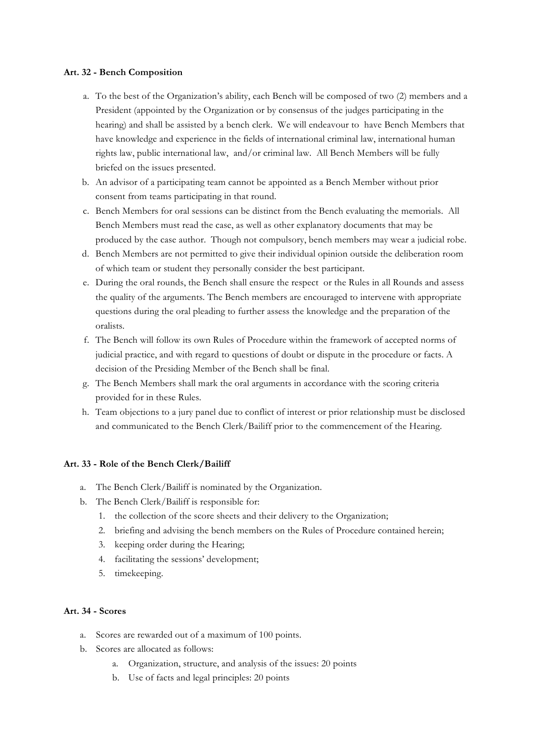#### **Art. 32 - Bench Composition**

- a. To the best of the Organization's ability, each Bench will be composed of two (2) members and a President (appointed by the Organization or by consensus of the judges participating in the hearing) and shall be assisted by a bench clerk. We will endeavour to have Bench Members that have knowledge and experience in the fields of international criminal law, international human rights law, public international law, and/or criminal law. All Bench Members will be fully briefed on the issues presented.
- b. An advisor of a participating team cannot be appointed as a Bench Member without prior consent from teams participating in that round.
- c. Bench Members for oral sessions can be distinct from the Bench evaluating the memorials. All Bench Members must read the case, as well as other explanatory documents that may be produced by the case author. Though not compulsory, bench members may wear a judicial robe.
- d. Bench Members are not permitted to give their individual opinion outside the deliberation room of which team or student they personally consider the best participant.
- e. During the oral rounds, the Bench shall ensure the respect or the Rules in all Rounds and assess the quality of the arguments. The Bench members are encouraged to intervene with appropriate questions during the oral pleading to further assess the knowledge and the preparation of the oralists.
- f. The Bench will follow its own Rules of Procedure within the framework of accepted norms of judicial practice, and with regard to questions of doubt or dispute in the procedure or facts. A decision of the Presiding Member of the Bench shall be final.
- g. The Bench Members shall mark the oral arguments in accordance with the scoring criteria provided for in these Rules.
- h. Team objections to a jury panel due to conflict of interest or prior relationship must be disclosed and communicated to the Bench Clerk/Bailiff prior to the commencement of the Hearing.

#### **Art. 33 - Role of the Bench Clerk/Bailiff**

- a. The Bench Clerk/Bailiff is nominated by the Organization.
- b. The Bench Clerk/Bailiff is responsible for:
	- 1. the collection of the score sheets and their delivery to the Organization;
	- 2. briefing and advising the bench members on the Rules of Procedure contained herein;
	- 3. keeping order during the Hearing;
	- 4. facilitating the sessions' development;
	- 5. timekeeping.

### **Art. 34 - Scores**

- a. Scores are rewarded out of a maximum of 100 points.
- b. Scores are allocated as follows:
	- a. Organization, structure, and analysis of the issues: 20 points
	- b. Use of facts and legal principles: 20 points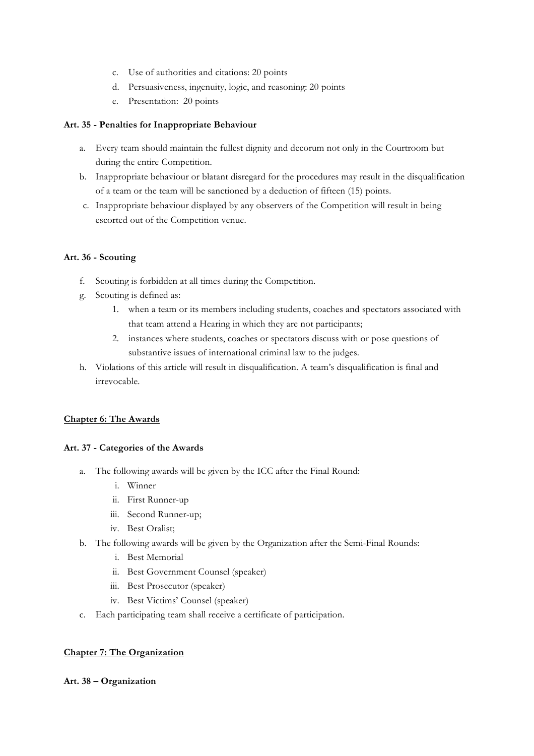- c. Use of authorities and citations: 20 points
- d. Persuasiveness, ingenuity, logic, and reasoning: 20 points
- e. Presentation: 20 points

## **Art. 35 - Penalties for Inappropriate Behaviour**

- a. Every team should maintain the fullest dignity and decorum not only in the Courtroom but during the entire Competition.
- b. Inappropriate behaviour or blatant disregard for the procedures may result in the disqualification of a team or the team will be sanctioned by a deduction of fifteen (15) points.
- c. Inappropriate behaviour displayed by any observers of the Competition will result in being escorted out of the Competition venue.

# **Art. 36 - Scouting**

- f. Scouting is forbidden at all times during the Competition.
- g. Scouting is defined as:
	- 1. when a team or its members including students, coaches and spectators associated with that team attend a Hearing in which they are not participants;
	- 2. instances where students, coaches or spectators discuss with or pose questions of substantive issues of international criminal law to the judges.
- h. Violations of this article will result in disqualification. A team's disqualification is final and irrevocable.

#### **Chapter 6: The Awards**

#### **Art. 37 - Categories of the Awards**

- a. The following awards will be given by the ICC after the Final Round:
	- i. Winner
	- ii. First Runner-up
	- iii. Second Runner-up;
	- iv. Best Oralist;
- b. The following awards will be given by the Organization after the Semi-Final Rounds:
	- i. Best Memorial
	- ii. Best Government Counsel (speaker)
	- iii. Best Prosecutor (speaker)
	- iv. Best Victims' Counsel (speaker)
- c. Each participating team shall receive a certificate of participation.

#### **Chapter 7: The Organization**

#### **Art. 38 – Organization**